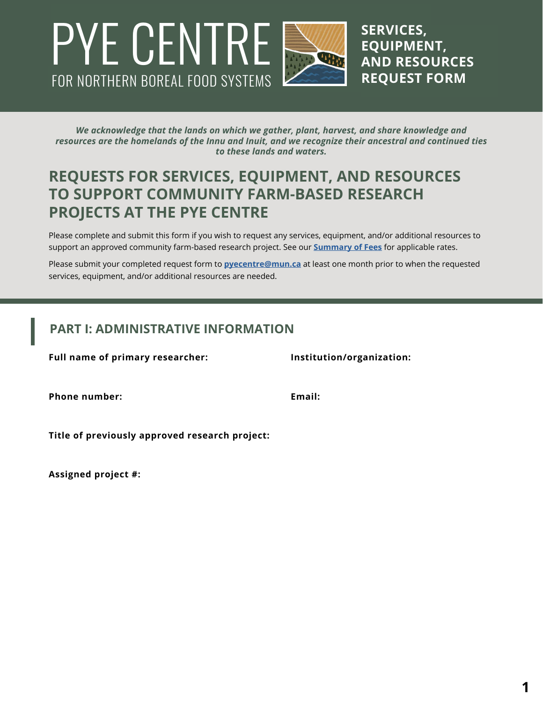# FOR NORTHERN BOREAL FOOD SYSTEMS PYE CENTRE SERVICES,

**EQUIPMENT, AND RESOURCES REQUEST FORM**

*We acknowledge that the lands on which we gather, plant, harvest, and share knowledge and resources are the homelands of the Innu and Inuit, and we recognize their ancestral and continued ties to these lands and waters.*

## **REQUESTS FOR SERVICES, EQUIPMENT, AND RESOURCES TO SUPPORT COMMUNITY FARM-BASED RESEARCH PROJECTS AT THE PYE CENTRE**

Please complete and submit this form if you wish to request any services, equipment, and/or additional resources to support an approved community farm-based research project. See our **[Summary of Fees](https://pye-centre.ca/research/summary-of-fees/)** for applicable rates.

Please submit your completed request form to **[pyecentre@mun.ca](mailto:pyecentre%40mun.ca?subject=)** at least one month prior to when the requested services, equipment, and/or additional resources are needed.

#### **PART I: ADMINISTRATIVE INFORMATION**

**Full name of primary researcher: Institution/organization:**

**Phone number: Email:**

**Title of previously approved research project:**

**Assigned project #:**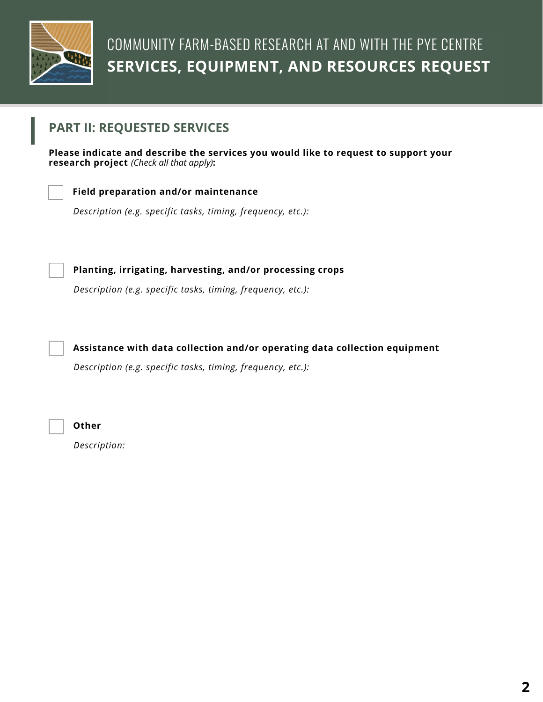

#### **PART II: REQUESTED SERVICES**

**Please indicate and describe the services you would like to request to support your research project** *(Check all that apply)***:**



#### **Field preparation and/or maintenance**

*Description (e.g. specific tasks, timing, frequency, etc.):*

*Description (e.g. specific tasks, timing, frequency, etc.):*

**Planting, irrigating, harvesting, and/or processing crops**



**Assistance with data collection and/or operating data collection equipment**

*Description (e.g. specific tasks, timing, frequency, etc.):*



**Other**

*Description:*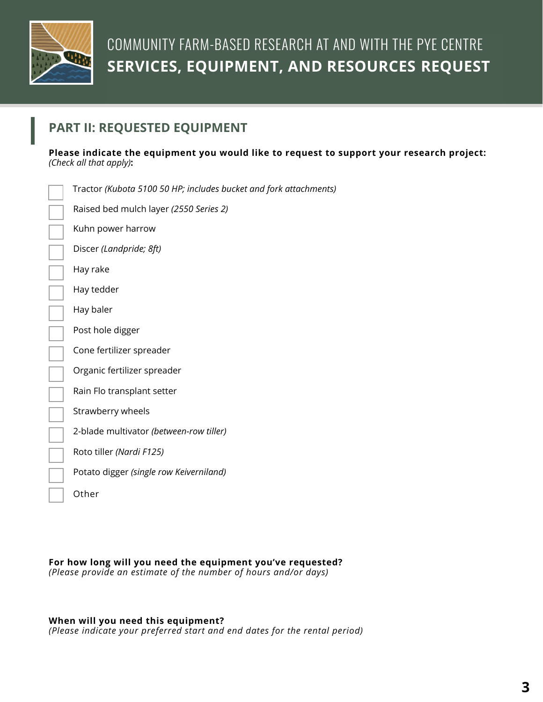

## **PART II: REQUESTED EQUIPMENT**

**Please indicate the equipment you would like to request to support your research project:**  *(Check all that apply)***:**

| Tractor (Kubota 5100 50 HP; includes bucket and fork attachments) |
|-------------------------------------------------------------------|
| Raised bed mulch layer (2550 Series 2)                            |
| Kuhn power harrow                                                 |
| Discer (Landpride; 8ft)                                           |
| Hay rake                                                          |
| Hay tedder                                                        |
| Hay baler                                                         |
| Post hole digger                                                  |
| Cone fertilizer spreader                                          |
| Organic fertilizer spreader                                       |
| Rain Flo transplant setter                                        |
| Strawberry wheels                                                 |
| 2-blade multivator (between-row tiller)                           |
| Roto tiller (Nardi F125)                                          |
| Potato digger (single row Keiverniland)                           |
| Other                                                             |
|                                                                   |

**For how long will you need the equipment you've requested?**  *(Please provide an estimate of the number of hours and/or days)*

#### **When will you need this equipment?**

*(Please indicate your preferred start and end dates for the rental period)*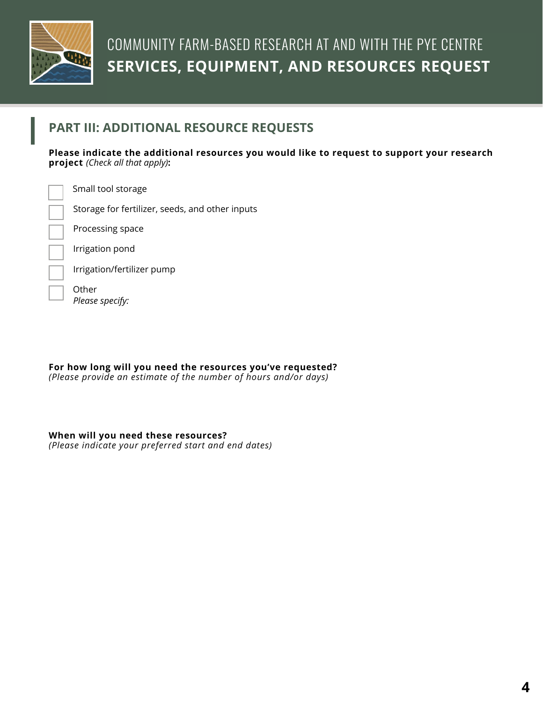

### **PART III: ADDITIONAL RESOURCE REQUESTS**

**Please indicate the additional resources you would like to request to support your research project** *(Check all that apply)***:**

Small tool storage

Storage for fertilizer, seeds, and other inputs

Processing space

Irrigation pond

Irrigation/fertilizer pump

**Other** *Please specify:*

**For how long will you need the resources you've requested?**  *(Please provide an estimate of the number of hours and/or days)*

#### **When will you need these resources?**

*(Please indicate your preferred start and end dates)*